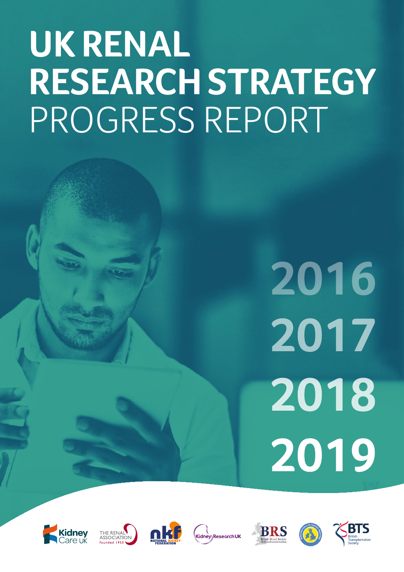# **UK RENAL RESEARCH STRATEGY**  PROGRESS REPORT

# 2016 2017 2018 2019











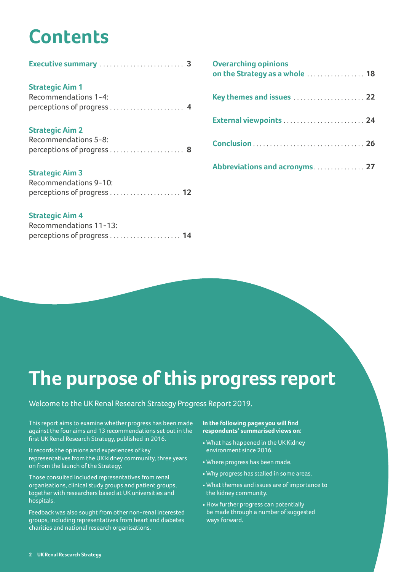# **Contents**

| <b>Strategic Aim 1</b><br>Recommendations 1-4:                               |  |
|------------------------------------------------------------------------------|--|
| <b>Strategic Aim 2</b><br>Recommendations 5-8:<br>perceptions of progress  8 |  |
| <b>Strategic Aim 3</b>                                                       |  |

| Recommendations 9-10:       |  |
|-----------------------------|--|
| perceptions of progress  12 |  |

#### **Strategic Aim 4**

| Recommendations 11-13:      |  |
|-----------------------------|--|
| perceptions of progress  14 |  |

| <b>Overarching opinions</b><br>on the Strategy as a whole  18 |  |
|---------------------------------------------------------------|--|
|                                                               |  |
|                                                               |  |
|                                                               |  |
| Abbreviations and acronyms 27                                 |  |

# The purpose of this progress report

#### Welcome to the UK Renal Research Strategy Progress Report 2019.

This report aims to examine whether progress has been made against the four aims and 13 recommendations set out in the first UK Renal Research Strategy, published in 2016.

It records the opinions and experiences of key representatives from the UK kidney community, three years on from the launch of the Strategy.

Those consulted included representatives from renal organisations, clinical study groups and patient groups, together with researchers based at UK universities and hospitals.

Feedback was also sought from other non-renal interested groups, including representatives from heart and diabetes charities and national research organisations.

#### In the following pages you will find respondents' summarised views on:

- What has happened in the UK Kidney environment since 2016.
- Where progress has been made.
- Why progress has stalled in some areas.
- What themes and issues are of importance to the kidney community.
- How further progress can potentially be made through a number of suggested ways forward.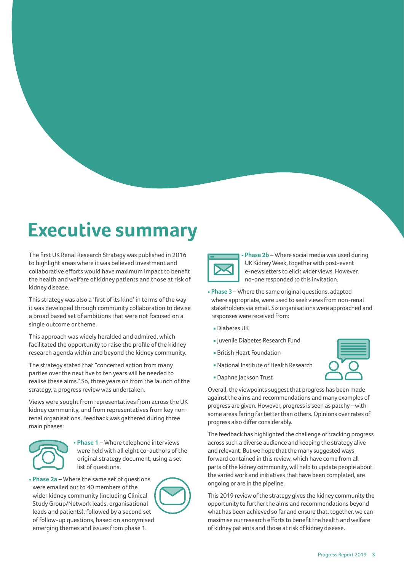# **Executive summary**

The first UK Renal Research Strategy was published in 2016 to highlight areas where it was believed investment and collaborative efforts would have maximum impact to benefit the health and welfare of kidney patients and those at risk of kidney disease.

This strategy was also a 'first of its kind' in terms of the way it was developed through community collaboration to devise a broad based set of ambitions that were not focused on a single outcome or theme.

This approach was widely heralded and admired, which facilitated the opportunity to raise the profile of the kidney research agenda within and beyond the kidney community.

The strategy stated that "concerted action from many parties over the next five to ten years will be needed to realise these aims." So, three years on from the launch of the strategy, a progress review was undertaken.

Views were sought from representatives from across the UK kidney community, and from representatives from key nonrenal organisations. Feedback was gathered during three main phases:



• **Phase 1** – Where telephone interviews were held with all eight co-authors of the original strategy document, using a set list of questions.

• **Phase 2a** – Where the same set of questions were emailed out to 40 members of the wider kidney community (including Clinical Study Group/Network leads, organisational leads and patients), followed by a second set of follow-up questions, based on anonymised emerging themes and issues from phase 1.



• **Phase 2b** – Where social media was used during UK Kidney Week, together with post-event e-newsletters to elicit wider views. However, no-one responded to this invitation.

- **Phase 3** Where the same original questions, adapted where appropriate, were used to seek views from non-renal stakeholders via email. Six organisations were approached and responses were received from:
	- Diabetes UK
	- Juvenile Diabetes Research Fund
	- British Heart Foundation
	- National Institute of Health Research
	- **Daphne Jackson Trust**

Overall, the viewpoints suggest that progress has been made against the aims and recommendations and many examples of progress are given. However, progress is seen as patchy – with some areas faring far better than others. Opinions over rates of progress also differ considerably.

The feedback has highlighted the challenge of tracking progress across such a diverse audience and keeping the strategy alive and relevant. But we hope that the many suggested ways forward contained in this review, which have come from all parts of the kidney community, will help to update people about the varied work and initiatives that have been completed, are ongoing or are in the pipeline.

This 2019 review of the strategy gives the kidney community the opportunity to further the aims and recommendations beyond what has been achieved so far and ensure that, together, we can maximise our research efforts to benefit the health and welfare of kidney patients and those at risk of kidney disease.

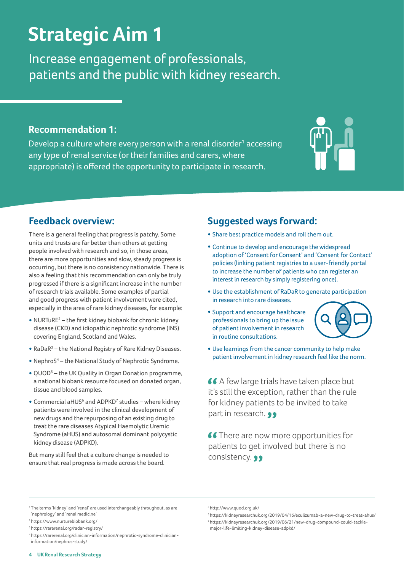# **Strategic Aim 1**

Increase engagement of professionals, patients and the public with kidney research.

### **Recommendation 1:**

Develop a culture where every person with a renal disorder<sup>1</sup> accessing any type of renal service (or their families and carers, where appropriate) is offered the opportunity to participate in research.



# **Feedback overview:**

There is a general feeling that progress is patchy. Some units and trusts are far better than others at getting people involved with research and so, in those areas, there are more opportunities and slow, steady progress is occurring, but there is no consistency nationwide. There is also a feeling that this recommendation can only be truly progressed if there is a significant increase in the number of research trials available. Some examples of partial and good progress with patient involvement were cited, especially in the area of rare kidney diseases, for example:

- NURTuRE<sup>2</sup> the first kidney biobank for chronic kidney disease (CKD) and idiopathic nephrotic syndrome (INS) covering England, Scotland and Wales.
- RaDaR3 the National Registry of Rare Kidney Diseases.
- NephroS<sup>4</sup> the National Study of Nephrotic Syndrome.
- QUOD5 the UK Quality in Organ Donation programme, a national biobank resource focused on donated organ, tissue and blood samples.
- $\bullet$  Commercial aHUS<sup>6</sup> and ADPKD<sup>7</sup> studies where kidney patients were involved in the clinical development of new drugs and the repurposing of an existing drug to treat the rare diseases Atypical Haemolytic Uremic Syndrome (aHUS) and autosomal dominant polycystic kidney disease (ADPKD).

But many still feel that a culture change is needed to ensure that real progress is made across the board.

# **Suggested ways forward:**

- Share best practice models and roll them out.
- Continue to develop and encourage the widespread adoption of 'Consent for Consent' and 'Consent for Contact' policies (linking patient registries to a user-friendly portal to increase the number of patients who can register an interest in research by simply registering once).
- Use the establishment of RaDaR to generate participation in research into rare diseases.
- Support and encourage healthcare professionals to bring up the issue of patient involvement in research in routine consultations.



• Use learnings from the cancer community to help make patient involvement in kidney research feel like the norm.

66 A few large trials have taken place but it's still the exception, rather than the rule for kidney patients to be invited to take part in research. ••

**66** There are now more opportunities for patients to get involved but there is no consistency. ••

5 http://www.quod.org.uk/

<sup>&</sup>lt;sup>1</sup>The terms 'kidney' and 'renal' are used interchangeably throughout, as are 'nephrology' and 'renal medicine'

<sup>2</sup> https://www.nurturebiobank.org/

<sup>3</sup> https://rarerenal.org/radar-registry/

<sup>4</sup> https://rarerenal.org/clinician-information/nephrotic-syndrome-clinicianinformation/nephros-study/

<sup>6</sup> https://kidneyresearchuk.org/2019/04/16/eculizumab-a-new-drug-to-treat-ahus/ 7 https://kidneyresearchuk.org/2019/06/21/new-drug-compound-could-tacklemajor-life-limiting-kidney-disease-adpkd/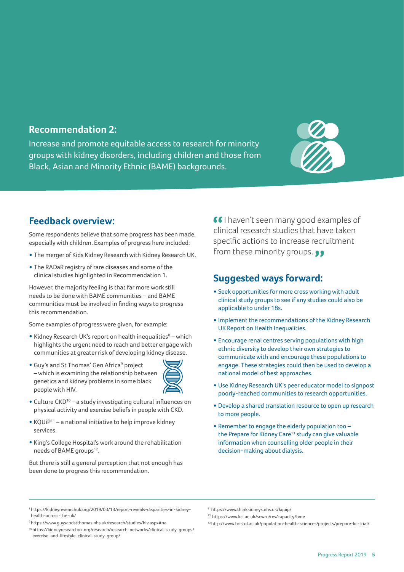### **Recommendation 2:**

Increase and promote equitable access to research for minority groups with kidney disorders, including children and those from Black, Asian and Minority Ethnic (BAME) backgrounds.



# **Feedback overview:**

Some respondents believe that some progress has been made, especially with children. Examples of progress here included:

- **•** The merger of Kids Kidney Research with Kidney Research UK.
- **•** The RADaR registry of rare diseases and some of the clinical studies highlighted in Recommendation 1.

However, the majority feeling is that far more work still needs to be done with BAME communities – and BAME communities must be involved in finding ways to progress this recommendation.

Some examples of progress were given, for example:

- Kidney Research UK's report on health inequalities<sup>8</sup> which highlights the urgent need to reach and better engage with communities at greater risk of developing kidney disease.
- Guy's and St Thomas' Gen Africa<sup>9</sup> project – which is examining the relationship between genetics and kidney problems in some black people with HIV.



- Culture CKD10 a study investigating cultural influences on physical activity and exercise beliefs in people with CKD.
- KQUiP11 a national initiative to help improve kidney services.
- King's College Hospital's work around the rehabilitation needs of BAME groups<sup>12</sup>.

But there is still a general perception that not enough has been done to progress this recommendation.

**I** haven't seen many good examples of clinical research studies that have taken specific actions to increase recruitment from these minority groups.  $\bullet \bullet$ 

# **Suggested ways forward:**

- Seek opportunities for more cross working with adult clinical study groups to see if any studies could also be applicable to under 18s.
- Implement the recommendations of the Kidney Research UK Report on Health Inequalities.
- Encourage renal centres serving populations with high ethnic diversity to develop their own strategies to communicate with and encourage these populations to engage. These strategies could then be used to develop a national model of best approaches.
- Use Kidney Research UK's peer educator model to signpost poorly-reached communities to research opportunities.
- Develop a shared translation resource to open up research to more people.
- Remember to engage the elderly population too the Prepare for Kidney Care<sup>13</sup> study can give valuable information when counselling older people in their decision-making about dialysis.

<sup>8</sup> https://kidneyresearchuk.org/2019/03/13/report-reveals-disparities-in-kidneyhealth-across-the-uk/

<sup>11</sup> https://www.thinkkidneys.nhs.uk/kquip/

<sup>12</sup> https://www.kcl.ac.uk/scwru/res/capacity/bme

<sup>9</sup> https://www.guysandstthomas.nhs.uk/research/studies/hiv.aspx#na

<sup>10</sup> https://kidneyresearchuk.org/research/research-networks/clinical-study-groups/ exercise-and-lifestyle-clinical-study-group/

<sup>13</sup> http://www.bristol.ac.uk/population-health-sciences/projects/prepare-kc-trial/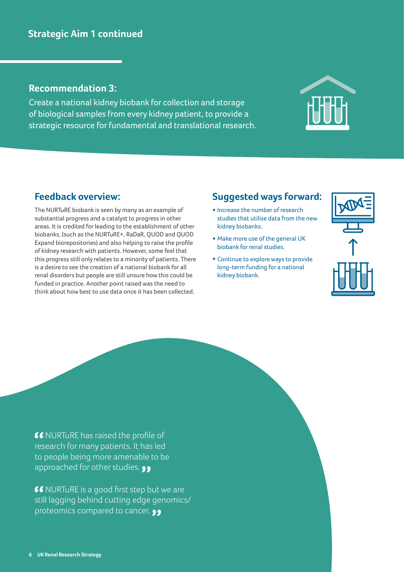# **Strategic Aim 1 continued**

### **Recommendation 3:**

Create a national kidney biobank for collection and storage of biological samples from every kidney patient, to provide a strategic resource for fundamental and translational research.

# **Feedback overview:**

The NURTuRE biobank is seen by many as an example of substantial progress and a catalyst to progress in other areas. It is credited for leading to the establishment of other biobanks, (such as the NURTuRE+, RaDaR, QUOD and QUOD Expand biorepositories) and also helping to raise the profile of kidney research with patients. However, some feel that this progress still only relates to a minority of patients. There is a desire to see the creation of a national biobank for all renal disorders but people are still unsure how this could be funded in practice. Another point raised was the need to think about how best to use data once it has been collected.

# **Suggested ways forward:**

- Increase the number of research studies that utilise data from the new kidney biobanks.
- Make more use of the general UK biobank for renal studies.
- Continue to explore ways to provide long-term funding for a national kidney biobank.



66 NURTuRE has raised the profile of research for many patients. It has led to people being more amenable to be approached for other studies.  $\bullet \bullet$ 

**66 NURTURE is a good first step but we are** still lagging behind cutting edge genomics/ proteomics compared to cancer.  $\bullet \bullet$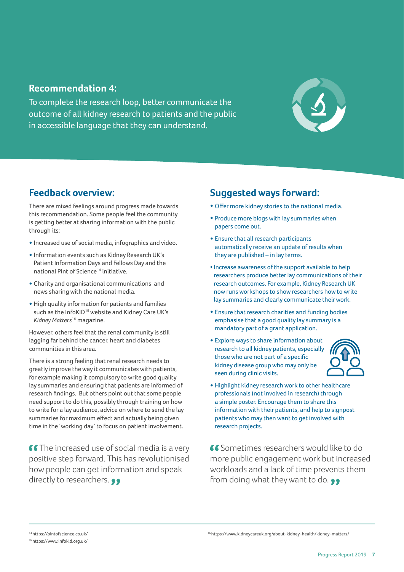### **Recommendation 4:**

To complete the research loop, better communicate the outcome of all kidney research to patients and the public in accessible language that they can understand.



# **Feedback overview:**

There are mixed feelings around progress made towards this recommendation. Some people feel the community is getting better at sharing information with the public through its:

- Increased use of social media, infographics and video.
- Information events such as Kidney Research UK's Patient Information Days and Fellows Day and the national Pint of Science<sup>14</sup> initiative.
- Charity and organisational communications and news sharing with the national media.
- High quality information for patients and families such as the InfoKID<sup>15</sup> website and Kidney Care UK's *Kidney Matters*16 magazine.

However, others feel that the renal community is still lagging far behind the cancer, heart and diabetes communities in this area.

There is a strong feeling that renal research needs to greatly improve the way it communicates with patients, for example making it compulsory to write good quality lay summaries and ensuring that patients are informed of research findings. But others point out that some people need support to do this, possibly through training on how to write for a lay audience, advice on where to send the lay summaries for maximum effect and actually being given time in the 'working day' to focus on patient involvement.

**66** The increased use of social media is a very positive step forward. This has revolutionised how people can get information and speak directly to researchers.  $\bullet \bullet$ 

# **Suggested ways forward:**

- Offer more kidney stories to the national media.
- Produce more blogs with lay summaries when papers come out.
- Ensure that all research participants automatically receive an update of results when they are published – in lay terms.
- Increase awareness of the support available to help researchers produce better lay communications of their research outcomes. For example, Kidney Research UK now runs workshops to show researchers how to write lay summaries and clearly communicate their work.
- Ensure that research charities and funding bodies emphasise that a good quality lay summary is a mandatory part of a grant application.
- Explore ways to share information about research to all kidney patients, especially those who are not part of a specific kidney disease group who may only be seen during clinic visits.



• Highlight kidney research work to other healthcare professionals (not involved in research) through a simple poster. Encourage them to share this information with their patients, and help to signpost patients who may then want to get involved with research projects.

 Sometimes researchers would like to do more public engagement work but increased workloads and a lack of time prevents them from doing what they want to do.  $\bullet \bullet$ 

14 https://pintofscience.co.uk/ 15 https://www.infokid.org.uk/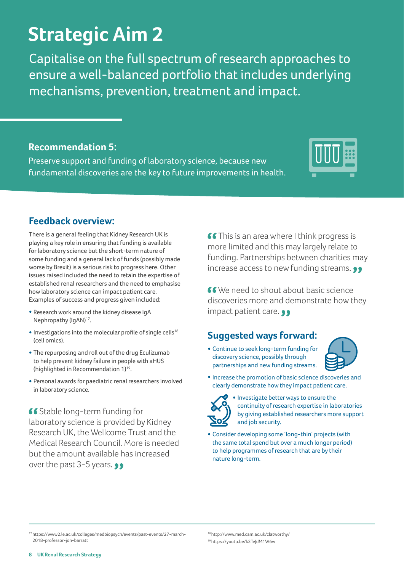#### **8 UK Renal Research Strategy**

# **Strategic Aim 2**

Capitalise on the full spectrum of research approaches to ensure a well-balanced portfolio that includes underlying mechanisms, prevention, treatment and impact.

# **Recommendation 5:**

Preserve support and funding of laboratory science, because new fundamental discoveries are the key to future improvements in health.

# **Feedback overview:**

There is a general feeling that Kidney Research UK is playing a key role in ensuring that funding is available for laboratory science but the short-term nature of some funding and a general lack of funds (possibly made worse by Brexit) is a serious risk to progress here. Other issues raised included the need to retain the expertise of established renal researchers and the need to emphasise how laboratory science can impact patient care. Examples of success and progress given included:

- Research work around the kidney disease IgA Nephropathy (IgAN)<sup>17</sup>.
- $\bullet$  Investigations into the molecular profile of single cells<sup>18</sup> (cell omics).
- The repurposing and roll out of the drug Eculizumab to help prevent kidney failure in people with aHUS (highlighted in Recommendation 1)19.
- Personal awards for paediatric renal researchers involved in laboratory science.

66 Stable long-term funding for laboratory science is provided by Kidney Research UK, the Wellcome Trust and the Medical Research Council. More is needed but the amount available has increased over the past 3-5 years.

**66** This is an area where I think progress is more limited and this may largely relate to funding. Partnerships between charities may increase access to new funding streams.  $\bullet\bullet$ 

 We need to shout about basic science discoveries more and demonstrate how they impact patient care.  $\bullet \bullet$ 

# **Suggested ways forward:**

• Continue to seek long-term funding for discovery science, possibly through partnerships and new funding streams.





• Investigate better ways to ensure the continuity of research expertise in laboratories by giving established researchers more support and job security.

• Consider developing some 'long-thin' projects (with the same total spend but over a much longer period) to help programmes of research that are by their nature long-term.

18 http://www.med.cam.ac.uk/clatworthy/ <sup>19</sup>https://youtu.be/k3TeJdM1W6w





<sup>17</sup> https://www2.le.ac.uk/colleges/medbiopsych/events/past-events/27-march-2018-professor-jon-barratt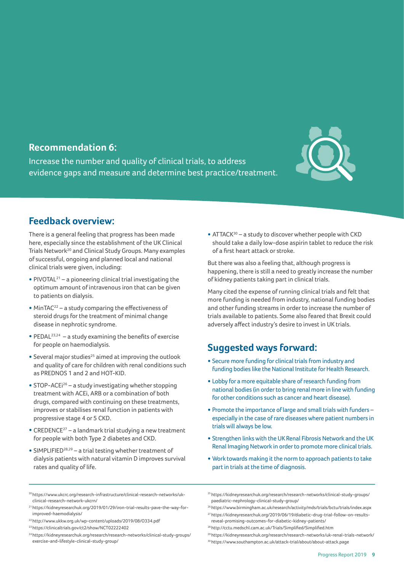### **Recommendation 6:**

Increase the number and quality of clinical trials, to address evidence gaps and measure and determine best practice/treatment.



# **Feedback overview:**

There is a general feeling that progress has been made here, especially since the establishment of the UK Clinical Trials Network<sup>20</sup> and Clinical Study Groups. Many examples of successful, ongoing and planned local and national clinical trials were given, including:

- PIVOTAL<sup>21</sup> a pioneering clinical trial investigating the optimum amount of intravenous iron that can be given to patients on dialysis.
- $\bullet$  MinTAC<sup>22</sup> a study comparing the effectiveness of steroid drugs for the treatment of minimal change disease in nephrotic syndrome.
- PEDAL<sup>23,24</sup> a study examining the benefits of exercise for people on haemodialysis.
- Several major studies<sup>25</sup> aimed at improving the outlook and quality of care for children with renal conditions such as PREDNOS 1 and 2 and HOT-KID.
- STOP-ACEi<sup>26</sup> a study investigating whether stopping treatment with ACEi, ARB or a combination of both drugs, compared with continuing on these treatments, improves or stabilises renal function in patients with progressive stage 4 or 5 CKD.
- CREDENCE27 a landmark trial studying a new treatment for people with both Type 2 diabetes and CKD.
- SIMPLIFIED28,29 a trial testing whether treatment of dialysis patients with natural vitamin D improves survival rates and quality of life.

• ATTAC $K^{30}$  – a study to discover whether people with CKD should take a daily low-dose aspirin tablet to reduce the risk of a first heart attack or stroke.

But there was also a feeling that, although progress is happening, there is still a need to greatly increase the number of kidney patients taking part in clinical trials.

Many cited the expense of running clinical trials and felt that more funding is needed from industry, national funding bodies and other funding streams in order to increase the number of trials available to patients. Some also feared that Brexit could adversely affect industry's desire to invest in UK trials.

# **Suggested ways forward:**

- Secure more funding for clinical trials from industry and funding bodies like the National Institute for Health Research.
- Lobby for a more equitable share of research funding from national bodies (in order to bring renal more in line with funding for other conditions such as cancer and heart disease).
- Promote the importance of large and small trials with funders especially in the case of rare diseases where patient numbers in trials will always be low.
- Strengthen links with the UK Renal Fibrosis Network and the UK Renal Imaging Network in order to promote more clinical trials.
- Work towards making it the norm to approach patients to take part in trials at the time of diagnosis.
- 20 https://www.ukcrc.org/research-infrastructure/clinical-research-networks/ukclinical-research-network-ukcrn/
- 21 https://kidneyresearchuk.org/2019/01/29/iron-trial-results-pave-the-way-forimproved-haemodialysis/
- 22 http://www.ukkw.org.uk/wp-content/uploads/2019/08/O334.pdf
- 23 https://clinicaltrials.gov/ct2/show/NCT02222402
- 24 https://kidneyresearchuk.org/research/research-networks/clinical-study-groups/ exercise-and-lifestyle-clinical-study-group/
- 25 https://kidneyresearchuk.org/research/research-networks/clinical-study-groups/ paediatric-nephrology-clinical-study-group/

<sup>26</sup>https://www.birmingham.ac.uk/research/activity/mds/trials/bctu/trials/index.aspx 27 https://kidneyresearchuk.org/2019/06/19/diabetic-drug-trial-follow-on-results-

reveal-promising-outcomes-for-diabetic-kidney-patients/ <sup>28</sup>http://cctu.medschl.cam.ac.uk/Trials/Simplified/Simplified.htm

<sup>29</sup> https://kidneyresearchuk.org/research/research-networks/uk-renal-trials-network/

<sup>30</sup> https://www.southampton.ac.uk/attack-trial/about/about-attack.page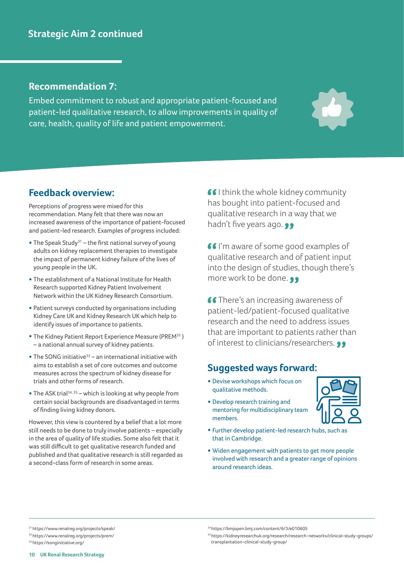## **Recommendation 7:**

Embed commitment to robust and appropriate patient-focused and patient-led qualitative research, to allow improvements in quality of care, health, quality of life and patient empowerment.



# **Feedback overview:**

Perceptions of progress were mixed for this recommendation. Many felt that there was now an increased awareness of the importance of patient-focused and patient-led research. Examples of progress included:

- The Speak Study<sup>31</sup> the first national survey of young adults on kidney replacement therapies to investigate the impact of permanent kidney failure of the lives of young people in the UK.
- The establishment of a National Institute for Health Research supported Kidney Patient Involvement Network within the UK Kidney Research Consortium.
- Patient surveys conducted by organisations including Kidney Care UK and Kidney Research UK which help to identify issues of importance to patients.
- The Kidney Patient Report Experience Measure (PREM32 ) – a national annual survey of kidney patients.
- The SONG initiative<sup>33</sup> an international initiative with aims to establish a set of core outcomes and outcome measures across the spectrum of kidney disease for trials and other forms of research.
- The ASK trial<sup>34, 35</sup> which is looking at why people from certain social backgrounds are disadvantaged in terms of finding living kidney donors.

However, this view is countered by a belief that a lot more still needs to be done to truly involve patients – especially in the area of quality of life studies. Some also felt that it was still difficult to get qualitative research funded and published and that qualitative research is still regarded as a second-class form of research in some areas.

66 Lihink the whole kidney community has bought into patient-focused and qualitative research in a way that we hadn't five years ago.  $\bullet \bullet$ 

**I'm aware of some good examples of** qualitative research and of patient input into the design of studies, though there's more work to be done.  $\bullet \bullet$ 

66 There's an increasing awareness of patient-led/patient-focused qualitative research and the need to address issues that are important to patients rather than of interest to clinicians/researchers. ••

# **Suggested ways forward:**

- Devise workshops which focus on qualitative methods.
- Develop research training and mentoring for multidisciplinary team members.

<sup>34</sup>https://bmjopen.bmj.com/content/6/3/e010605

transplantation-clinical-study-group/



- Further develop patient-led research hubs, such as that in Cambridge.
- Widen engagement with patients to get more people involved with research and a greater range of opinions around research ideas.

35 https://kidneyresearchuk.org/research/research-networks/clinical-study-groups/

<sup>31</sup> https://www.renalreg.org/projects/speak/ 32 https://www.renalreg.org/projects/prem/

<sup>33</sup> https://songinitiative.org/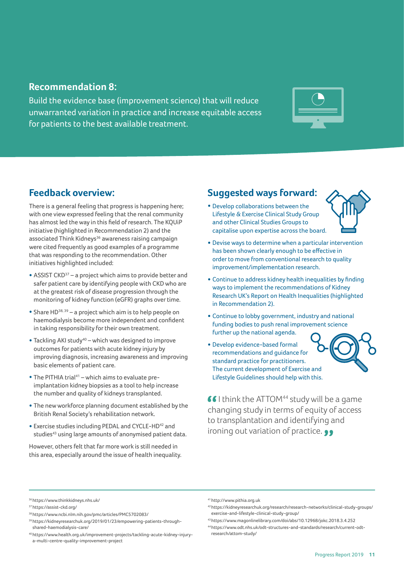### **Recommendation 8:**

Build the evidence base (improvement science) that will reduce unwarranted variation in practice and increase equitable access for patients to the best available treatment.



# **Feedback overview:**

There is a general feeling that progress is happening here; with one view expressed feeling that the renal community has almost led the way in this field of research. The KQUiP initiative (highlighted in Recommendation 2) and the associated Think Kidneys<sup>36</sup> awareness raising campaign were cited frequently as good examples of a programme that was responding to the recommendation. Other initiatives highlighted included:

- $\bullet$  ASSIST CKD<sup>37</sup> a project which aims to provide better and safer patient care by identifying people with CKD who are at the greatest risk of disease progression through the monitoring of kidney function (eGFR) graphs over time.
- Share HD38, 39 a project which aim is to help people on haemodialysis become more independent and confident in taking responsibility for their own treatment.
- Tackling AKI study40 which was designed to improve outcomes for patients with acute kidney injury by improving diagnosis, increasing awareness and improving basic elements of patient care.
- The PITHIA trial<sup>41</sup> which aims to evaluate preimplantation kidney biopsies as a tool to help increase the number and quality of kidneys transplanted.
- The new workforce planning document established by the British Renal Society's rehabilitation network.
- Exercise studies including PEDAL and CYCLE-HD42 and studies<sup>43</sup> using large amounts of anonymised patient data.

However, others felt that far more work is still needed in this area, especially around the issue of health inequality.

# **Suggested ways forward:**

• Develop collaborations between the Lifestyle & Exercise Clinical Study Group and other Clinical Studies Groups to capitalise upon expertise across the board.



- Devise ways to determine when a particular intervention has been shown clearly enough to be effective in order to move from conventional research to quality improvement/implementation research.
- Continue to address kidney health inequalities by finding ways to implement the recommendations of Kidney Research UK's Report on Health Inequalities (highlighted in Recommendation 2).
- Continue to lobby government, industry and national funding bodies to push renal improvement science further up the national agenda.
- Develop evidence-based formal recommendations and guidance for standard practice for practitioners. The current development of Exercise and Lifestyle Guidelines should help with this.



 $\bullet$  I think the ATTOM<sup>44</sup> study will be a game changing study in terms of equity of access to transplantation and identifying and ironing out variation of practice.

<sup>36</sup>https://www.thinkkidneys.nhs.uk/

<sup>37</sup> https://assist-ckd.org/

<sup>38</sup> https://www.ncbi.nlm.nih.gov/pmc/articles/PMC5702083/

<sup>39</sup> https://kidneyresearchuk.org/2019/01/23/empowering-patients-throughshared-haemodialysis-care/

<sup>40</sup> https://www.health.org.uk/improvement-projects/tackling-acute-kidney-injurya-multi-centre-quality-improvement-project

<sup>41</sup> http://www.pithia.org.uk

<sup>42</sup> https://kidneyresearchuk.org/research/research-networks/clinical-study-groups/ exercise-and-lifestyle-clinical-study-group/

<sup>43</sup>https://www.magonlinelibrary.com/doi/abs/10.12968/jokc.2018.3.4.252

<sup>44</sup> https://www.odt.nhs.uk/odt-structures-and-standards/research/current-odtresearch/attom-study/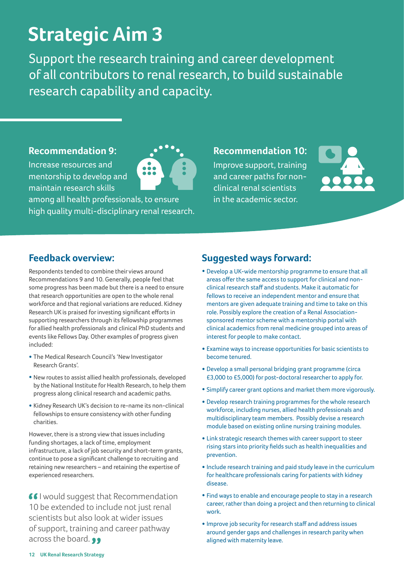# **Strategic Aim 3**

Support the research training and career development of all contributors to renal research, to build sustainable research capability and capacity.

### **Recommendation 9:**

Increase resources and mentorship to develop and maintain research skills

among all health professionals, to ensure high quality multi-disciplinary renal research. **Recommendation 10:**

Improve support, training and career paths for nonclinical renal scientists in the academic sector.



# **Feedback overview:**

Respondents tended to combine their views around Recommendations 9 and 10. Generally, people feel that some progress has been made but there is a need to ensure that research opportunities are open to the whole renal workforce and that regional variations are reduced. Kidney Research UK is praised for investing significant efforts in supporting researchers through its fellowship programmes for allied health professionals and clinical PhD students and events like Fellows Day. Other examples of progress given included:

- The Medical Research Council's 'New Investigator Research Grants'.
- New routes to assist allied health professionals, developed by the National Institute for Health Research, to help them progress along clinical research and academic paths.
- Kidney Research UK's decision to re-name its non-clinical fellowships to ensure consistency with other funding charities.

However, there is a strong view that issues including funding shortages, a lack of time, employment infrastructure, a lack of job security and short-term grants, continue to pose a significant challenge to recruiting and retaining new researchers – and retaining the expertise of experienced researchers.

**II** would suggest that Recommendation 10 be extended to include not just renal scientists but also look at wider issues of support, training and career pathway across the board. ••

# **Suggested ways forward:**

- Develop a UK-wide mentorship programme to ensure that all areas offer the same access to support for clinical and nonclinical research staff and students. Make it automatic for fellows to receive an independent mentor and ensure that mentors are given adequate training and time to take on this role. Possibly explore the creation of a Renal Associationsponsored mentor scheme with a mentorship portal with clinical academics from renal medicine grouped into areas of interest for people to make contact.
- Examine ways to increase opportunities for basic scientists to become tenured.
- Develop a small personal bridging grant programme (circa £3,000 to £5,000) for post-doctoral researcher to apply for.
- Simplify career grant options and market them more vigorously.
- Develop research training programmes for the whole research workforce, including nurses, allied health professionals and multidisciplinary team members. Possibly devise a research module based on existing online nursing training modules.
- Link strategic research themes with career support to steer rising stars into priority fields such as health inequalities and prevention.
- Include research training and paid study leave in the curriculum for healthcare professionals caring for patients with kidney disease.
- Find ways to enable and encourage people to stay in a research career, rather than doing a project and then returning to clinical work.
- Improve job security for research staff and address issues around gender gaps and challenges in research parity when aligned with maternity leave.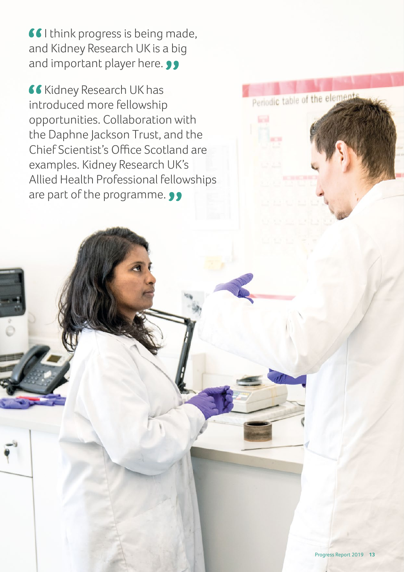**I** think progress is being made, and Kidney Research UK is a big and important player here. **99** 

**Kidney Research UK has** introduced more fellowship opportunities. Collaboration with the Daphne Jackson Trust, and the Chief Scientist's Office Scotland are examples. Kidney Research UK's Allied Health Professional fellowships are part of the programme. 99

Periodic table of the elements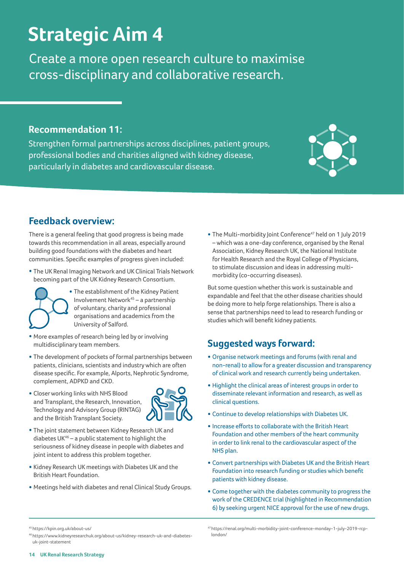# **Strategic Aim 4**

Create a more open research culture to maximise cross-disciplinary and collaborative research.

# **Recommendation 11:**

Strengthen formal partnerships across disciplines, patient groups, professional bodies and charities aligned with kidney disease, particularly in diabetes and cardiovascular disease.

# **Feedback overview:**

There is a general feeling that good progress is being made towards this recommendation in all areas, especially around building good foundations with the diabetes and heart communities. Specific examples of progress given included:

- The UK Renal Imaging Network and UK Clinical Trials Network becoming part of the UK Kidney Research Consortium.
	- The establishment of the Kidney Patient Involvement Network45 – a partnership of voluntary, charity and professional organisations and academics from the University of Salford.
- More examples of research being led by or involving multidisciplinary team members.
- The development of pockets of formal partnerships between patients, clinicians, scientists and industry which are often disease specific. For example, Alports, Nephrotic Syndrome, complement, ADPKD and CKD.
- Closer working links with NHS Blood and Transplant, the Research, Innovation, Technology and Advisory Group (RINTAG) and the British Transplant Society.
- The joint statement between Kidney Research UK and diabetes UK<sup>46</sup> – a public statement to highlight the seriousness of kidney disease in people with diabetes and joint intent to address this problem together.
- Kidney Research UK meetings with Diabetes UK and the British Heart Foundation.
- Meetings held with diabetes and renal Clinical Study Groups.

• The Multi-morbidity Joint Conference<sup>47</sup> held on 1 July 2019 – which was a one-day conference, organised by the Renal Association, Kidney Research UK, the National Institute for Health Research and the Royal College of Physicians, to stimulate discussion and ideas in addressing multimorbidity (co-occurring diseases).

But some question whether this work is sustainable and expandable and feel that the other disease charities should be doing more to help forge relationships. There is also a sense that partnerships need to lead to research funding or studies which will benefit kidney patients.

# **Suggested ways forward:**

- Organise network meetings and forums (with renal and non-renal) to allow for a greater discussion and transparency of clinical work and research currently being undertaken.
- Highlight the clinical areas of interest groups in order to disseminate relevant information and research, as well as clinical questions.
- Continue to develop relationships with Diabetes UK.
- Increase efforts to collaborate with the British Heart Foundation and other members of the heart community in order to link renal to the cardiovascular aspect of the NHS plan.
- Convert partnerships with Diabetes UK and the British Heart Foundation into research funding or studies which benefit patients with kidney disease.
- Come together with the diabetes community to progress the work of the CREDENCE trial (highlighted in Recommendation 6) by seeking urgent NICE approval for the use of new drugs.

46 https://www.kidneyresearchuk.org/about-us/kidney-research-uk-and-diabetesuk-joint-statement

47 https://renal.org/multi-morbidity-joint-conference-monday-1-july-2019-rcplondon/





<sup>45</sup> https://kpin.org.uk/about-us/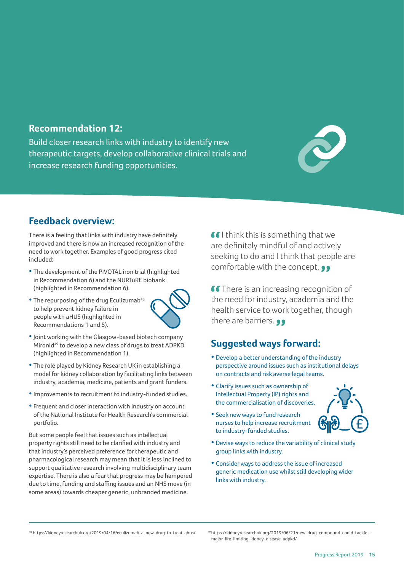# **Recommendation 12:**

Build closer research links with industry to identify new therapeutic targets, develop collaborative clinical trials and increase research funding opportunities.



# **Feedback overview:**

There is a feeling that links with industry have definitely improved and there is now an increased recognition of the need to work together. Examples of good progress cited included:

- The development of the PIVOTAL iron trial (highlighted in Recommendation 6) and the NURTuRE biobank (highlighted in Recommendation 6).
- $\bullet$  The repurposing of the drug Eculizumab<sup>48</sup> to help prevent kidney failure in people with aHUS (highlighted in Recommendations 1 and 5).



- Joint working with the Glasgow-based biotech company Mironid<sup>49</sup> to develop a new class of drugs to treat ADPKD (highlighted in Recommendation 1).
- The role played by Kidney Research UK in establishing a model for kidney collaboration by facilitating links between industry, academia, medicine, patients and grant funders.
- Improvements to recruitment to industry-funded studies.
- Frequent and closer interaction with industry on account of the National Institute for Health Research's commercial portfolio.

But some people feel that issues such as intellectual property rights still need to be clarified with industry and that industry's perceived preference for therapeutic and pharmacological research may mean that it is less inclined to support qualitative research involving multidisciplinary team expertise. There is also a fear that progress may be hampered due to time, funding and staffing issues and an NHS move (in some areas) towards cheaper generic, unbranded medicine.

66 I think this is something that we are definitely mindful of and actively seeking to do and I think that people are comfortable with the concept.  $\bullet \bullet$ 

**66** There is an increasing recognition of the need for industry, academia and the health service to work together, though there are barriers. **99** 

# **Suggested ways forward:**

- Develop a better understanding of the industry perspective around issues such as institutional delays on contracts and risk averse legal teams.
- Clarify issues such as ownership of Intellectual Property (IP) rights and the commercialisation of discoveries.
- Seek new ways to fund research nurses to help increase recruitment to industry-funded studies.



- Devise ways to reduce the variability of clinical study group links with industry.
- Consider ways to address the issue of increased generic medication use whilst still developing wider links with industry.

<sup>48</sup> https://kidneyresearchuk.org/2019/04/16/eculizumab-a-new-drug-to-treat-ahus/ <sup>49</sup>https://kidneyresearchuk.org/2019/06/21/new-drug-compound-could-tackle-

major-life-limiting-kidney-disease-adpkd/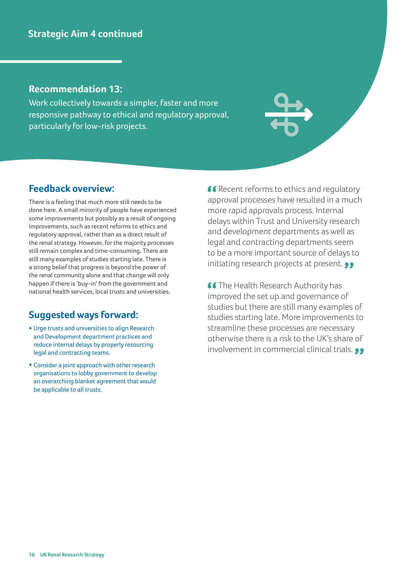### **Recommendation 13:**

Work collectively towards a simpler, faster and more responsive pathway to ethical and regulatory approval, particularly for low-risk projects.

# **Feedback overview:**

There is a feeling that much more still needs to be done here. A small minority of people have experienced some improvements but possibly as a result of ongoing improvements, such as recent reforms to ethics and regulatory approval, rather than as a direct result of the renal strategy. However, for the majority processes still remain complex and time-consuming. There are still many examples of studies starting late. There is a strong belief that progress is beyond the power of the renal community alone and that change will only happen if there is 'buy-in' from the government and national health services, local trusts and universities.

# **Suggested ways forward:**

- Urge trusts and universities to align Research and Development department practices and reduce internal delays by properly resourcing legal and contracting teams.
- Consider a joint approach with other research organisations to lobby government to develop an overarching blanket agreement that would be applicable to all trusts.

**66** Recent reforms to ethics and regulatory approval processes have resulted in a much more rapid approvals process. Internal delays within Trust and University research and development departments as well as legal and contracting departments seem to be a more important source of delays to initiating research projects at present. ••

**66 The Health Research Authority has** improved the set up and governance of studies but there are still many examples of studies starting late. More improvements to streamline these processes are necessary otherwise there is a risk to the UK's share of involvement in commercial clinical trials.  $\bullet\bullet$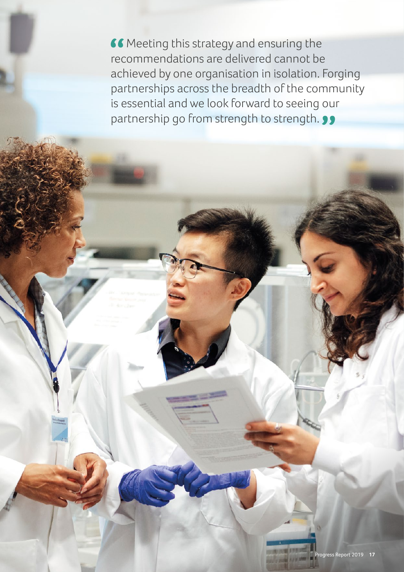**66** Meeting this strategy and ensuring the recommendations are delivered cannot be achieved by one organisation in isolation. Forging partnerships across the breadth of the community is essential and we look forward to seeing our partnership go from strength to strength.  $\bullet\bullet$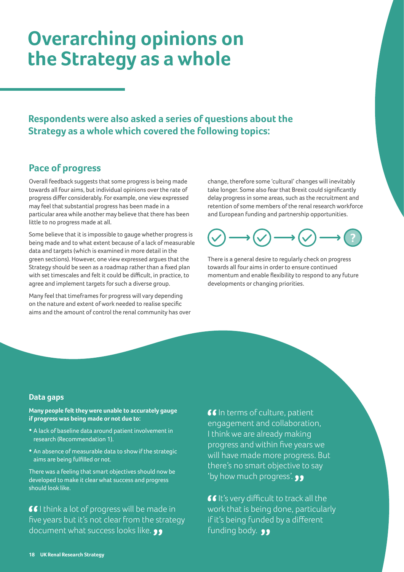# **Overarching opinions on the Strategy as a whole**

**Respondents were also asked a series of questions about the Strategy as a whole which covered the following topics:** 

# **Pace of progress**

Overall feedback suggests that some progress is being made towards all four aims, but individual opinions over the rate of progress differ considerably. For example, one view expressed may feel that substantial progress has been made in a particular area while another may believe that there has been little to no progress made at all.

Some believe that it is impossible to gauge whether progress is being made and to what extent because of a lack of measurable data and targets (which is examined in more detail in the green sections). However, one view expressed argues that the Strategy should be seen as a roadmap rather than a fixed plan with set timescales and felt it could be difficult, in practice, to agree and implement targets for such a diverse group.

Many feel that timeframes for progress will vary depending on the nature and extent of work needed to realise specific aims and the amount of control the renal community has over change, therefore some 'cultural' changes will inevitably take longer. Some also fear that Brexit could significantly delay progress in some areas, such as the recruitment and retention of some members of the renal research workforce and European funding and partnership opportunities.



There is a general desire to regularly check on progress towards all four aims in order to ensure continued momentum and enable flexibility to respond to any future developments or changing priorities.

### **Data gaps**

**Many people felt they were unable to accurately gauge if progress was being made or not due to:**

- A lack of baseline data around patient involvement in research (Recommendation 1).
- An absence of measurable data to show if the strategic aims are being fulfilled or not.

There was a feeling that smart objectives should now be developed to make it clear what success and progress should look like.

**II** think a lot of progress will be made in five years but it's not clear from the strategy document what success looks like.  $\bullet \bullet$ 

**IG** In terms of culture, patient engagement and collaboration, I think we are already making progress and within five years we will have made more progress. But there's no smart objective to say 'by how much progress'. **99** 

**If** It's very difficult to track all the work that is being done, particularly if it's being funded by a different funding body. **99**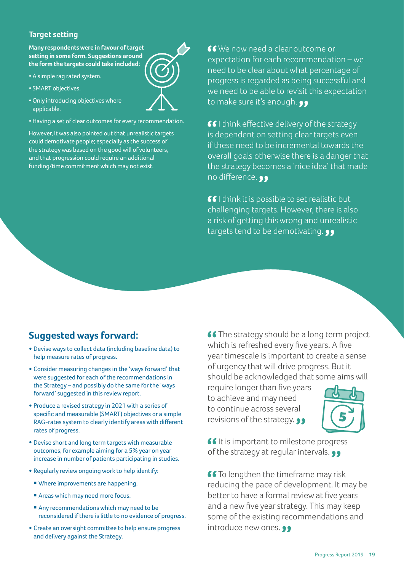### **Target setting**

**Many respondents were in favour of target setting in some form. Suggestions around the form the targets could take included:**

- A simple rag rated system.
- SMART objectives.
- Only introducing objectives where applicable.
- Having a set of clear outcomes for every recommendation.

However, it was also pointed out that unrealistic targets could demotivate people; especially as the success of the strategy was based on the good will of volunteers, and that progression could require an additional funding/time commitment which may not exist.

**66** We now need a clear outcome or expectation for each recommendation – we need to be clear about what percentage of progress is regarded as being successful and we need to be able to revisit this expectation to make sure it's enough. **99** 

**II** think effective delivery of the strategy is dependent on setting clear targets even if these need to be incremental towards the overall goals otherwise there is a danger that the strategy becomes a 'nice idea' that made no difference.  $\bullet \bullet$ 

**II** think it is possible to set realistic but challenging targets. However, there is also a risk of getting this wrong and unrealistic targets tend to be demotivating.

# **Suggested ways forward:**

- Devise ways to collect data (including baseline data) to help measure rates of progress.
- Consider measuring changes in the 'ways forward' that were suggested for each of the recommendations in the Strategy – and possibly do the same for the 'ways forward' suggested in this review report.
- Produce a revised strategy in 2021 with a series of specific and measurable (SMART) objectives or a simple RAG-rates system to clearly identify areas with different rates of progress.
- Devise short and long term targets with measurable outcomes, for example aiming for a 5% year on year increase in number of patients participating in studies.
- Regularly review ongoing work to help identify:
	- Where improvements are happening.
	- Areas which may need more focus.
	- Any recommendations which may need to be reconsidered if there is little to no evidence of progress.
- Create an oversight committee to help ensure progress and delivery against the Strategy.

**CO**The strategy should be a long term project which is refreshed every five years. A five year timescale is important to create a sense of urgency that will drive progress. But it should be acknowledged that some aims will

require longer than five years to achieve and may need to continue across several revisions of the strategy.  $\bullet \bullet$ 



**If it is important to milestone progress** of the strategy at regular intervals.  $\bullet \bullet$ 

**66** To lengthen the timeframe may risk reducing the pace of development. It may be better to have a formal review at five years and a new five year strategy. This may keep some of the existing recommendations and introduce new ones.  $\bullet \bullet$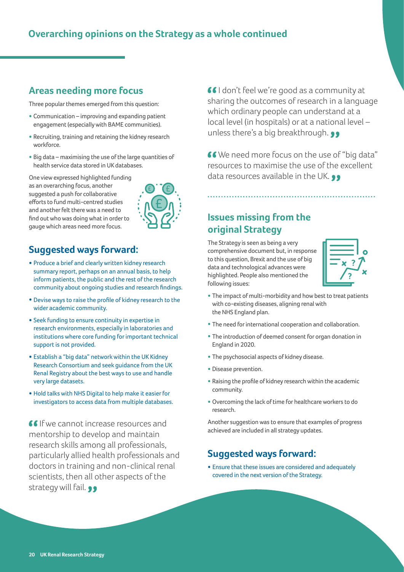# **Overarching opinions on the Strategy as a whole continued**

# **Areas needing more focus**

Three popular themes emerged from this question:

- Communication improving and expanding patient engagement (especially with BAME communities).
- Recruiting, training and retaining the kidney research workforce.
- Big data maximising the use of the large quantities of health service data stored in UK databases.

One view expressed highlighted funding as an overarching focus, another suggested a push for collaborative efforts to fund multi-centred studies and another felt there was a need to find out who was doing what in order to gauge which areas need more focus.



# **Suggested ways forward:**

- Produce a brief and clearly written kidney research summary report, perhaps on an annual basis, to help inform patients, the public and the rest of the research community about ongoing studies and research findings.
- Devise ways to raise the profile of kidney research to the wider academic community.
- Seek funding to ensure continuity in expertise in research environments, especially in laboratories and institutions where core funding for important technical support is not provided.
- Establish a "big data" network within the UK Kidney Research Consortium and seek guidance from the UK Renal Registry about the best ways to use and handle very large datasets.
- Hold talks with NHS Digital to help make it easier for investigators to access data from multiple databases.

 If we cannot increase resources and mentorship to develop and maintain research skills among all professionals, particularly allied health professionals and doctors in training and non-clinical renal scientists, then all other aspects of the strategy will fail. ••

 I don't feel we're good as a community at sharing the outcomes of research in a language which ordinary people can understand at a local level (in hospitals) or at a national level – unless there's a big breakthrough.  $\bullet \bullet$ 

**66** We need more focus on the use of "big data" resources to maximise the use of the excellent data resources available in the UK. ••

# **Issues missing from the original Strategy**

The Strategy is seen as being a very comprehensive document but, in response to this question, Brexit and the use of big data and technological advances were highlighted. People also mentioned the following issues:



- The impact of multi-morbidity and how best to treat patients with co-existing diseases, aligning renal with the NHS England plan.
- The need for international cooperation and collaboration.
- The introduction of deemed consent for organ donation in England in 2020.
- The psychosocial aspects of kidney disease.
- Disease prevention.
- Raising the profile of kidney research within the academic community.
- Overcoming the lack of time for healthcare workers to do research.

Another suggestion was to ensure that examples of progress achieved are included in all strategy updates.

## **Suggested ways forward:**

• Ensure that these issues are considered and adequately covered in the next version of the Strategy.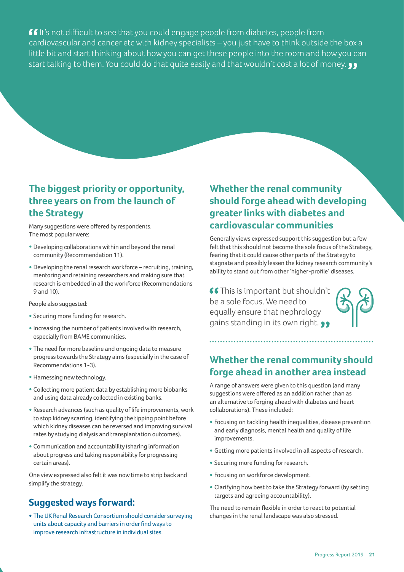**If** It's not difficult to see that you could engage people from diabetes, people from cardiovascular and cancer etc with kidney specialists – you just have to think outside the box a little bit and start thinking about how you can get these people into the room and how you can start talking to them. You could do that quite easily and that wouldn't cost a lot of money.  $\bullet\bullet$ 

# **The biggest priority or opportunity, three years on from the launch of the Strategy**

Many suggestions were offered by respondents. The most popular were:

- Developing collaborations within and beyond the renal community (Recommendation 11).
- Developing the renal research workforce recruiting, training, mentoring and retaining researchers and making sure that research is embedded in all the workforce (Recommendations 9 and 10).

People also suggested:

- Securing more funding for research.
- •Increasing the number of patients involved with research, especially from BAME communities.
- The need for more baseline and ongoing data to measure progress towards the Strategy aims (especially in the case of Recommendations 1-3).
- Harnessing new technology.
- Collecting more patient data by establishing more biobanks and using data already collected in existing banks.
- Research advances (such as quality of life improvements, work to stop kidney scarring, identifying the tipping point before which kidney diseases can be reversed and improving survival rates by studying dialysis and transplantation outcomes).
- Communication and accountability (sharing information about progress and taking responsibility for progressing certain areas).

One view expressed also felt it was now time to strip back and simplify the strategy.

# **Suggested ways forward:**

• The UK Renal Research Consortium should consider surveying units about capacity and barriers in order find ways to improve research infrastructure in individual sites.

# **Whether the renal community should forge ahead with developing greater links with diabetes and cardiovascular communities**

Generally views expressed support this suggestion but a few felt that this should not become the sole focus of the Strategy, fearing that it could cause other parts of the Strategy to stagnate and possibly lessen the kidney research community's ability to stand out from other 'higher-profile' diseases.

**66** This is important but shouldn't be a sole focus. We need to equally ensure that nephrology gains standing in its own right.



# **Whether the renal community should forge ahead in another area instead**

A range of answers were given to this question (and many suggestions were offered as an addition rather than as an alternative to forging ahead with diabetes and heart collaborations). These included:

- Focusing on tackling health inequalities, disease prevention and early diagnosis, mental health and quality of life improvements.
- Getting more patients involved in all aspects of research.
- Securing more funding for research.
- Focusing on workforce development.
- Clarifying how best to take the Strategy forward (by setting targets and agreeing accountability).

The need to remain flexible in order to react to potential changes in the renal landscape was also stressed.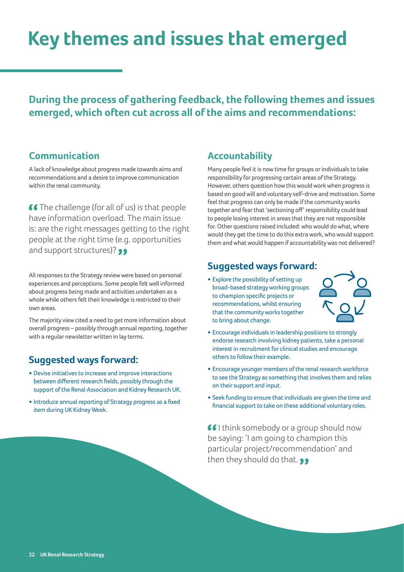# **Key themes and issues that emerged**

**During the process of gathering feedback, the following themes and issues emerged, which often cut across all of the aims and recommendations:**

### **Communication**

A lack of knowledge about progress made towards aims and recommendations and a desire to improve communication within the renal community.

**66** The challenge (for all of us) is that people have information overload. The main issue is: are the right messages getting to the right people at the right time (e.g. opportunities and support structures)? ••

All responses to the Strategy review were based on personal experiences and perceptions. Some people felt well informed about progress being made and activities undertaken as a whole while others felt their knowledge is restricted to their own areas.

The majority view cited a need to get more information about overall progress – possibly through annual reporting, together with a regular newsletter written in lay terms.

# **Suggested ways forward:**

- Devise initiatives to increase and improve interactions between different research fields, possibly through the support of the Renal Association and Kidney Research UK.
- Introduce annual reporting of Strategy progress as a fixed item during UK Kidney Week.

# **Accountability**

Many people feel it is now time for groups or individuals to take responsibility for progressing certain areas of the Strategy. However, others question how this would work when progress is based on good will and voluntary self-drive and motivation. Some feel that progress can only be made if the community works together and fear that 'sectioning off' responsibility could lead to people losing interest in areas that they are not responsible for. Other questions raised included: who would do what, where would they get the time to do this extra work, who would support them and what would happen if accountability was not delivered?

# **Suggested ways forward:**

• Explore the possibility of setting up broad-based strategy working groups to champion specific projects or recommendations, whilst ensuring that the community works together to bring about change.



- Encourage individuals in leadership positions to strongly endorse research involving kidney patients, take a personal interest in recruitment for clinical studies and encourage others to follow their example.
- Encourage younger members of the renal research workforce to see the Strategy as something that involves them and relies on their support and input.
- Seek funding to ensure that individuals are given the time and financial support to take on these additional voluntary roles.

**I** flink somebody or a group should now be saying: 'I am going to champion this particular project/recommendation' and then they should do that. 99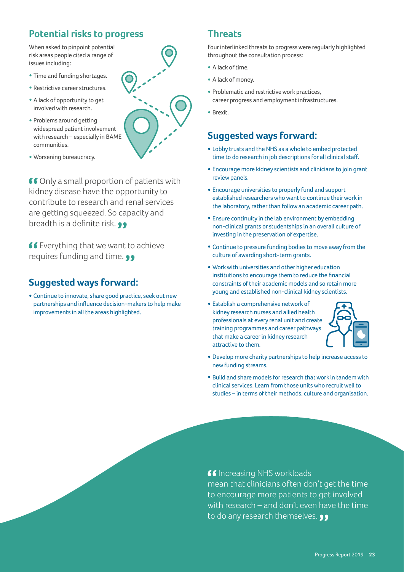# **Potential risks to progress**

When asked to pinpoint potential risk areas people cited a range of issues including:

- Time and funding shortages.
- Restrictive career structures.
- A lack of opportunity to get involved with research.
- Problems around getting widespread patient involvement with research – especially in BAME communities.
- Worsening bureaucracy.

66 Only a small proportion of patients with kidney disease have the opportunity to contribute to research and renal services are getting squeezed. So capacity and breadth is a definite risk. **99** 

**66** Everything that we want to achieve requires funding and time. ••

# **Suggested ways forward:**

• Continue to innovate, share good practice, seek out new partnerships and influence decision-makers to help make improvements in all the areas highlighted.

## **Threats**

Four interlinked threats to progress were regularly highlighted throughout the consultation process:

- A lack of time.
- A lack of money.
- Problematic and restrictive work practices, career progress and employment infrastructures.
- Brexit.

# **Suggested ways forward:**

- Lobby trusts and the NHS as a whole to embed protected time to do research in job descriptions for all clinical staff.
- Encourage more kidney scientists and clinicians to join grant review panels.
- Encourage universities to properly fund and support established researchers who want to continue their work in the laboratory, rather than follow an academic career path.
- Ensure continuity in the lab environment by embedding non-clinical grants or studentships in an overall culture of investing in the preservation of expertise.
- Continue to pressure funding bodies to move away from the culture of awarding short-term grants.
- Work with universities and other higher education institutions to encourage them to reduce the financial constraints of their academic models and so retain more young and established non-clinical kidney scientists.
- Establish a comprehensive network of kidney research nurses and allied health professionals at every renal unit and create training programmes and career pathways that make a career in kidney research attractive to them.



- Develop more charity partnerships to help increase access to new funding streams.
- Build and share models for research that work in tandem with clinical services. Learn from those units who recruit well to studies – in terms of their methods, culture and organisation.

### **I**s Increasing NHS workloads

mean that clinicians often don't get the time to encourage more patients to get involved with research – and don't even have the time to do any research themselves.

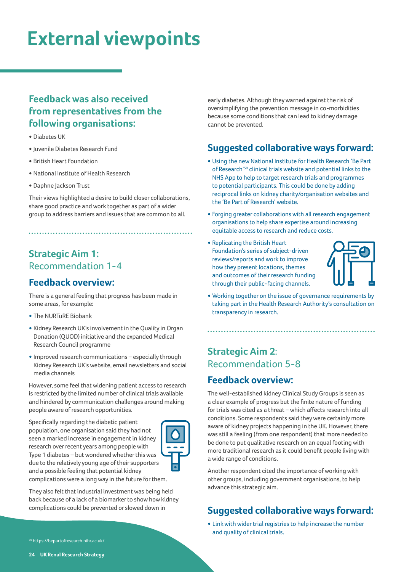# **External viewpoints**

# **Feedback was also received from representatives from the following organisations:**

- Diabetes UK
- •Juvenile Diabetes Research Fund
- British Heart Foundation
- National Institute of Health Research
- Daphne Jackson Trust

Their views highlighted a desire to build closer collaborations, share good practice and work together as part of a wider group to address barriers and issues that are common to all.

# **Strategic Aim 1:**  Recommendation 1-4

# **Feedback overview:**

There is a general feeling that progress has been made in some areas, for example:

- The NURTuRE Biobank
- Kidney Research UK's involvement in the Quality in Organ Donation (QUOD) initiative and the expanded Medical Research Council programme
- •Improved research communications especially through Kidney Research UK's website, email newsletters and social media channels

However, some feel that widening patient access to research is restricted by the limited number of clinical trials available and hindered by communication challenges around making people aware of research opportunities.

Specifically regarding the diabetic patient population, one organisation said they had not seen a marked increase in engagement in kidney research over recent years among people with Type 1 diabetes – but wondered whether this was due to the relatively young age of their supporters and a possible feeling that potential kidney



complications were a long way in the future for them.

They also felt that industrial investment was being held back because of a lack of a biomarker to show how kidney complications could be prevented or slowed down in

early diabetes. Although they warned against the risk of oversimplifying the prevention message in co-morbidities because some conditions that can lead to kidney damage cannot be prevented.

# **Suggested collaborative ways forward:**

- Using the new National Institute for Health Research 'Be Part of Research'50 clinical trials website and potential links to the NHS App to help to target research trials and programmes to potential participants. This could be done by adding reciprocal links on kidney charity/organisation websites and the 'Be Part of Research' website.
- Forging greater collaborations with all research engagement organisations to help share expertise around increasing equitable access to research and reduce costs.
- Replicating the British Heart Foundation's series of subject-driven reviews/reports and work to improve how they present locations, themes and outcomes of their research funding through their public-facing channels.



• Working together on the issue of governance requirements by taking part in the Health Research Authority's consultation on transparency in research.

# **Strategic Aim 2**: Recommendation 5-8

# **Feedback overview:**

The well-established kidney Clinical Study Groups is seen as a clear example of progress but the finite nature of funding for trials was cited as a threat – which affects research into all conditions. Some respondents said they were certainly more aware of kidney projects happening in the UK. However, there was still a feeling (from one respondent) that more needed to be done to put qualitative research on an equal footing with more traditional research as it could benefit people living with a wide range of conditions.

Another respondent cited the importance of working with other groups, including government organisations, to help advance this strategic aim.

# **Suggested collaborative ways forward:**

• Link with wider trial registries to help increase the number and quality of clinical trials.

50 https://bepartofresearch.nihr.ac.uk/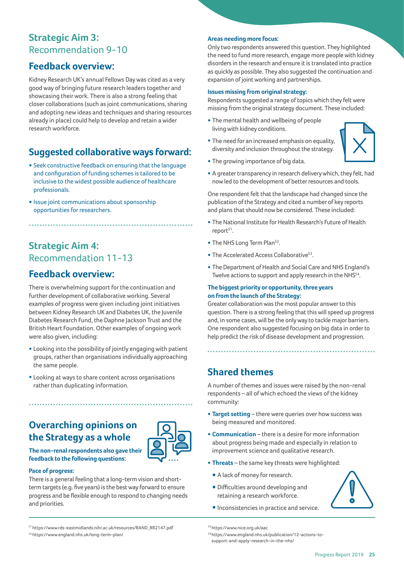# **Strategic Aim 3:** Recommendation 9-10

# **Feedback overview:**

Kidney Research UK's annual Fellows Day was cited as a very good way of bringing future research leaders together and showcasing their work. There is also a strong feeling that closer collaborations (such as joint communications, sharing and adopting new ideas and techniques and sharing resources already in place) could help to develop and retain a wider research workforce.

# **Suggested collaborative ways forward:**

• Seek constructive feedback on ensuring that the language and configuration of funding schemes is tailored to be inclusive to the widest possible audience of healthcare professionals.

• Issue joint communications about sponsorship opportunities for researchers.

# **Strategic Aim 4:** Recommendation 11-13

# **Feedback overview:**

There is overwhelming support for the continuation and further development of collaborative working. Several examples of progress were given including joint initiatives between Kidney Research UK and Diabetes UK, the Juvenile Diabetes Research Fund, the Daphne Jackson Trust and the British Heart Foundation. Other examples of ongoing work were also given, including:

• Looking into the possibility of jointly engaging with patient groups, rather than organisations individually approaching the same people.

• Looking at ways to share content across organisations rather than duplicating information.

# **Overarching opinions on the Strategy as a whole**



**The non-renal respondents also gave their feedback to the following questions:**

#### **Pace of progress:**

There is a general feeling that a long-term vision and shortterm targets (e.g. five years) is the best way forward to ensure progress and be flexible enough to respond to changing needs and priorities.

#### **Areas needing more focus:**

Only two respondents answered this question. They highlighted the need to fund more research, engage more people with kidney disorders in the research and ensure it is translated into practice as quickly as possible. They also suggested the continuation and expansion of joint working and partnerships.

#### **Issues missing from original strategy:**

Respondents suggested a range of topics which they felt were missing from the original strategy document. These included:

- The mental health and wellbeing of people living with kidney conditions.
- The need for an increased emphasis on equality, diversity and inclusion throughout the strategy.



- The growing importance of big data.
- A greater transparency in research delivery which, they felt, had now led to the development of better resources and tools.

One respondent felt that the landscape had changed since the publication of the Strategy and cited a number of key reports and plans that should now be considered. These included:

- The National Institute for Health Research's Future of Health report<sup>51</sup>.
- The NHS Long Term Plan<sup>52</sup>.
- The Accelerated Access Collaborative<sup>53</sup>.
- The Department of Health and Social Care and NHS England's Twelve actions to support and apply research in the NHS<sup>54</sup>.

#### **The biggest priority or opportunity, three years on from the launch of the Strategy:**

Greater collaboration was the most popular answer to this question. There is a strong feeling that this will speed up progress and, in some cases, will be the only way to tackle major barriers. One respondent also suggested focusing on big data in order to help predict the risk of disease development and progression.

# **Shared themes**

A number of themes and issues were raised by the non-renal respondents – all of which echoed the views of the kidney community:

- **Target setting** there were queries over how success was being measured and monitored.
- **Communication** there is a desire for more information about progress being made and especially in relation to improvement science and qualitative research.
- **Threats**  the same key threats were highlighted:
- A lack of money for research.
- Difficulties around developing and retaining a research workforce.
- 

51 https://www.rds-eastmidlands.nihr.ac.uk/resources/RAND\_RR2147.pdf 52 https://www.england.nhs.uk/long-term-plan/

 $\blacksquare$  Inconsistencies in practice and service.

<sup>53</sup> https://www.nice.org.uk/aac 54 https://www.england.nhs.uk/publication/12-actions-tosupport-and-apply-research-in-the-nhs/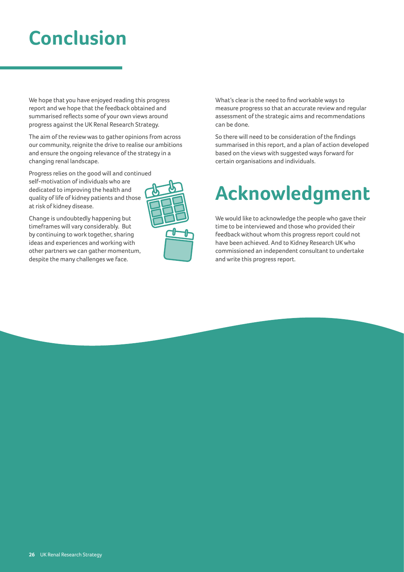# **Conclusion**

We hope that you have enjoyed reading this progress report and we hope that the feedback obtained and summarised reflects some of your own views around progress against the UK Renal Research Strategy.

The aim of the review was to gather opinions from across our community, reignite the drive to realise our ambitions and ensure the ongoing relevance of the strategy in a changing renal landscape.

Progress relies on the good will and continued self-motivation of individuals who are dedicated to improving the health and quality of life of kidney patients and those at risk of kidney disease.

Change is undoubtedly happening but timeframes will vary considerably. But by continuing to work together, sharing ideas and experiences and working with other partners we can gather momentum, despite the many challenges we face.



What's clear is the need to find workable ways to measure progress so that an accurate review and regular assessment of the strategic aims and recommendations can be done.

So there will need to be consideration of the findings summarised in this report, and a plan of action developed based on the views with suggested ways forward for certain organisations and individuals.

# **Acknowledgment**

We would like to acknowledge the people who gave their time to be interviewed and those who provided their feedback without whom this progress report could not have been achieved. And to Kidney Research UK who commissioned an independent consultant to undertake and write this progress report.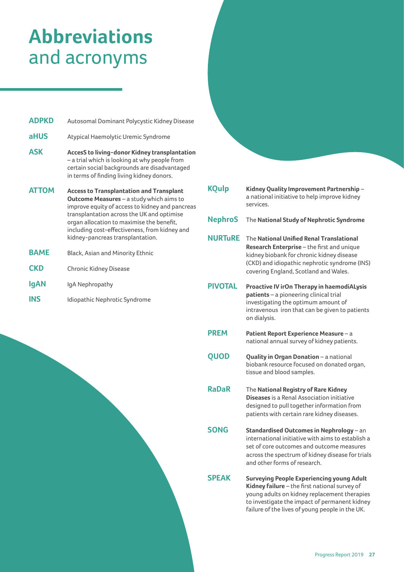# **Abbreviations** and acronyms

| <b>ADPKD</b> | Autosomal Dominant Polycystic Kidney Disease                                                                                                                                                                                                                                                                                          |
|--------------|---------------------------------------------------------------------------------------------------------------------------------------------------------------------------------------------------------------------------------------------------------------------------------------------------------------------------------------|
| <b>aHUS</b>  | Atypical Haemolytic Uremic Syndrome                                                                                                                                                                                                                                                                                                   |
| <b>ASK</b>   | <b>AccesS to living-donor Kidney transplantation</b><br>- a trial which is looking at why people from<br>certain social backgrounds are disadvantaged<br>in terms of finding living kidney donors.                                                                                                                                    |
| <b>ATTOM</b> | <b>Access to Transplantation and Transplant</b><br><b>Outcome Measures</b> – a study which aims to<br>improve equity of access to kidney and pancreas<br>transplantation across the UK and optimise<br>organ allocation to maximise the benefit,<br>including cost-effectiveness, from kidney and<br>kidney-pancreas transplantation. |
| <b>BAME</b>  | Black, Asian and Minority Ethnic                                                                                                                                                                                                                                                                                                      |
| <b>CKD</b>   | <b>Chronic Kidney Disease</b>                                                                                                                                                                                                                                                                                                         |
| lgAN         | IgA Nephropathy                                                                                                                                                                                                                                                                                                                       |

**INS** Idiopathic Nephrotic Syndrome

| <b>KQulp</b>   | Kidney Quality Improvement Partnership-<br>a national initiative to help improve kidney<br>services.                                                                                                                           |
|----------------|--------------------------------------------------------------------------------------------------------------------------------------------------------------------------------------------------------------------------------|
| <b>NephroS</b> | The National Study of Nephrotic Syndrome                                                                                                                                                                                       |
| <b>NURTuRE</b> | The National Unified Renal Translational<br>Research Enterprise - the first and unique<br>kidney biobank for chronic kidney disease<br>(CKD) and idiopathic nephrotic syndrome (INS)<br>covering England, Scotland and Wales.  |
| <b>PIVOTAL</b> | Proactive IV irOn Therapy in haemodiALysis<br>patients - a pioneering clinical trial<br>investigating the optimum amount of<br>intravenous iron that can be given to patients<br>on dialysis.                                  |
| <b>PREM</b>    | Patient Report Experience Measure - a<br>national annual survey of kidney patients.                                                                                                                                            |
| QUOD           | Quality in Organ Donation - a national<br>biobank resource focused on donated organ,<br>tissue and blood samples.                                                                                                              |
| <b>RaDaR</b>   | The National Registry of Rare Kidney<br><b>Diseases</b> is a Renal Association initiative<br>designed to pull together information from<br>patients with certain rare kidney diseases.                                         |
| <b>SONG</b>    | Standardised Outcomes in Nephrology - an<br>international initiative with aims to establish a<br>set of core outcomes and outcome measures<br>across the spectrum of kidney disease for trials<br>and other forms of research. |
| <b>SPEAK</b>   | <b>Surveying People Experiencing young Adult</b><br>Kidney failure – the first national survey of                                                                                                                              |

**Kidney failure** – the first national survey of young adults on kidney replacement therapies to investigate the impact of permanent kidney failure of the lives of young people in the UK.